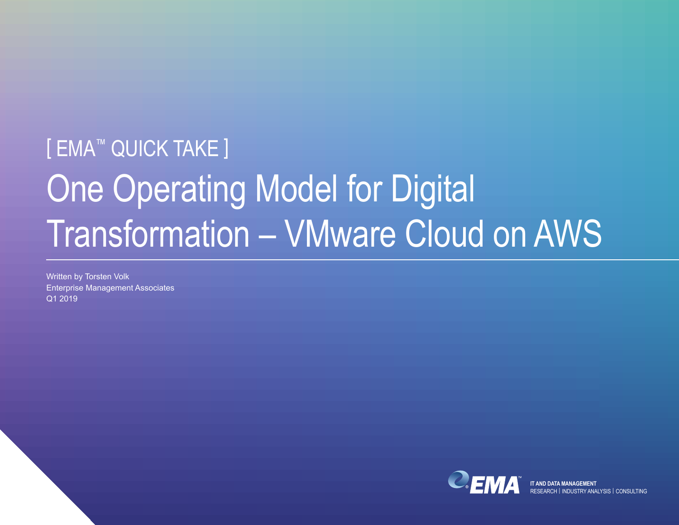# [ EMA<sup>™</sup> QUICK TAKE ] One Operating Model for Digital Transformation – VMware Cloud on AWS

Written by Torsten Volk Enterprise Management Associates Q1 2019



**IT AND DATA MANAGEMENT** RESEARCH | INDUSTRY ANALYSIS | CONSULTING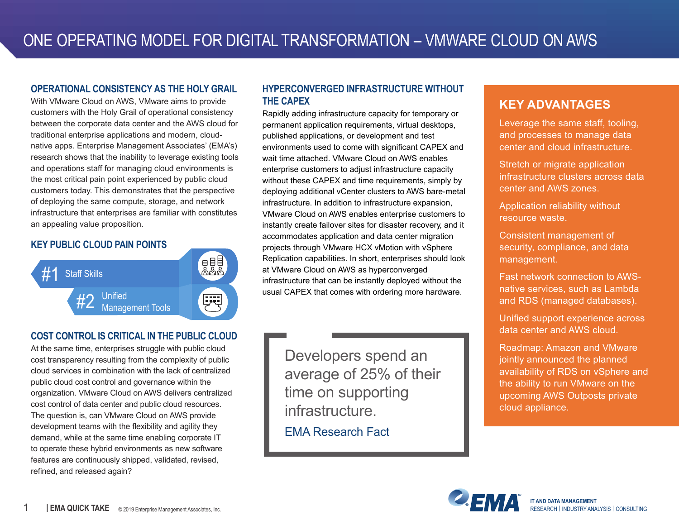#### **OPERATIONAL CONSISTENCY AS THE HOLY GRAIL**

With VMware Cloud on AWS, VMware aims to provide customers with the Holy Grail of operational consistency between the corporate data center and the AWS cloud for traditional enterprise applications and modern, cloudnative apps. Enterprise Management Associates' (EMA's) research shows that the inability to leverage existing tools and operations staff for managing cloud environments is the most critical pain point experienced by public cloud customers today. This demonstrates that the perspective of deploying the same compute, storage, and network infrastructure that enterprises are familiar with constitutes an appealing value proposition.

## **KEY PUBLIC CLOUD PAIN POINTS**



## **COST CONTROL IS CRITICAL IN THE PUBLIC CLOUD**

At the same time, enterprises struggle with public cloud cost transparency resulting from the complexity of public cloud services in combination with the lack of centralized public cloud cost control and governance within the organization. VMware Cloud on AWS delivers centralized cost control of data center and public cloud resources. The question is, can VMware Cloud on AWS provide development teams with the flexibility and agility they demand, while at the same time enabling corporate IT to operate these hybrid environments as new software features are continuously shipped, validated, revised, refined, and released again?

## **HYPERCONVERGED INFRASTRUCTURE WITHOUT THE CAPEX**

Rapidly adding infrastructure capacity for temporary or permanent application requirements, virtual desktops, published applications, or development and test environments used to come with significant CAPEX and wait time attached. VMware Cloud on AWS enables enterprise customers to adjust infrastructure capacity without these CAPEX and time requirements, simply by deploying additional vCenter clusters to AWS bare-metal infrastructure. In addition to infrastructure expansion, VMware Cloud on AWS enables enterprise customers to instantly create failover sites for disaster recovery, and it accommodates application and data center migration projects through VMware HCX vMotion with vSphere Replication capabilities. In short, enterprises should look at VMware Cloud on AWS as hyperconverged infrastructure that can be instantly deployed without the usual CAPEX that comes with ordering more hardware.

Developers spend an average of 25% of their time on supporting infrastructure.

EMA Research Fact

## **KEY ADVANTAGES**

Leverage the same staff, tooling, and processes to manage data center and cloud infrastructure.

Stretch or migrate application infrastructure clusters across data center and AWS zones.

Application reliability without resource waste.

Consistent management of security, compliance, and data management.

Fast network connection to AWSnative services, such as Lambda and RDS (managed databases).

Unified support experience across data center and AWS cloud.

Roadmap: Amazon and VMware jointly announced the planned availability of RDS on vSphere and the ability to run VMware on the upcoming AWS Outposts private cloud appliance.

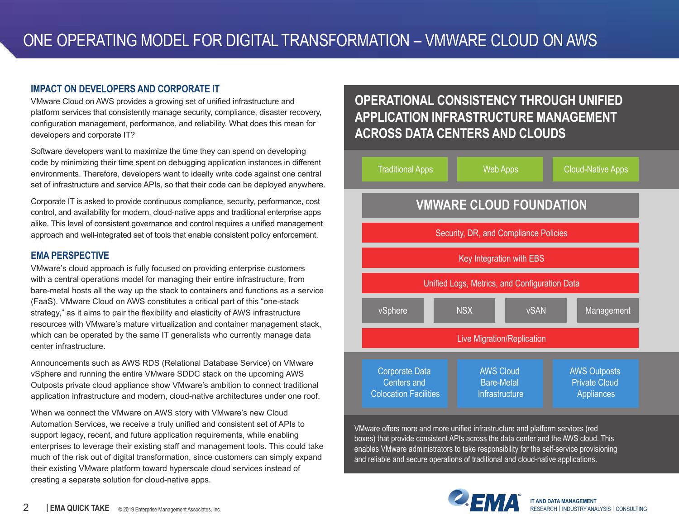### **IMPACT ON DEVELOPERS AND CORPORATE IT**

VMware Cloud on AWS provides a growing set of unified infrastructure and platform services that consistently manage security, compliance, disaster recovery, configuration management, performance, and reliability. What does this mean for developers and corporate IT?

Software developers want to maximize the time they can spend on developing code by minimizing their time spent on debugging application instances in different environments. Therefore, developers want to ideally write code against one central set of infrastructure and service APIs, so that their code can be deployed anywhere.

Corporate IT is asked to provide continuous compliance, security, performance, cost control, and availability for modern, cloud-native apps and traditional enterprise apps alike. This level of consistent governance and control requires a unified management approach and well-integrated set of tools that enable consistent policy enforcement.

## **EMA PERSPECTIVE**

VMware's cloud approach is fully focused on providing enterprise customers with a central operations model for managing their entire infrastructure, from bare-metal hosts all the way up the stack to containers and functions as a service (FaaS). VMware Cloud on AWS constitutes a critical part of this "one-stack strategy," as it aims to pair the flexibility and elasticity of AWS infrastructure resources with VMware's mature virtualization and container management stack, which can be operated by the same IT generalists who currently manage data center infrastructure.

Announcements such as AWS RDS (Relational Database Service) on VMware vSphere and running the entire VMware SDDC stack on the upcoming AWS Outposts private cloud appliance show VMware's ambition to connect traditional application infrastructure and modern, cloud-native architectures under one roof.

When we connect the VMware on AWS story with VMware's new Cloud Automation Services, we receive a truly unified and consistent set of APIs to support legacy, recent, and future application requirements, while enabling enterprises to leverage their existing staff and management tools. This could take much of the risk out of digital transformation, since customers can simply expand their existing VMware platform toward hyperscale cloud services instead of creating a separate solution for cloud-native apps.

## **OPERATIONAL CONSISTENCY THROUGH UNIFIED APPLICATION INFRASTRUCTURE MANAGEMENT ACROSS DATA CENTERS AND CLOUDS**



VMware offers more and more unified infrastructure and platform services (red boxes) that provide consistent APIs across the data center and the AWS cloud. This enables VMware administrators to take responsibility for the self-service provisioning and reliable and secure operations of traditional and cloud-native applications.